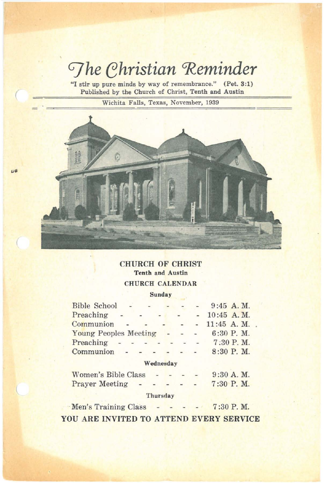# $The Christian Reminder$

**"l stir up pure minds by way of remembrance."** (Pet. 3:1) **Published by the Church of Christ, Tenth and Austin**

(

 $\omega$ 

**Wichita Falls, Texas, November, 1939**



# CHURCH OF CHRIST **Tenth and Austin** CHURCH CALENDAR

**Sunday**

| Bible School -               |                                                                     |  |           |  | $9:45$ A.M.   |
|------------------------------|---------------------------------------------------------------------|--|-----------|--|---------------|
| Preaching                    | $\frac{1}{2}$ and $\frac{1}{2}$ and $\frac{1}{2}$ and $\frac{1}{2}$ |  |           |  | 10:45 A.M.    |
| Communion                    |                                                                     |  |           |  | $11:45$ A. M. |
| <b>Young Peoples Meeting</b> |                                                                     |  |           |  | $6:30$ P.M.   |
| Preaching                    | <b>All All All A</b>                                                |  |           |  | 7:30 P.M.     |
| Communion - - -              |                                                                     |  |           |  | $-8:30$ P.M.  |
|                              |                                                                     |  | Wednesday |  |               |
| <b>Women's Bible Class</b>   |                                                                     |  |           |  | $9:30$ A. M.  |
| <b>Prayer Meeting</b>        |                                                                     |  |           |  | 7:30 P.M.     |
|                              |                                                                     |  | Thursday  |  |               |
|                              |                                                                     |  |           |  |               |

 $M$ en's Training Class  $7:30$  P. M. YOU ARE INVITED TO ATTEND EVERY SERVICE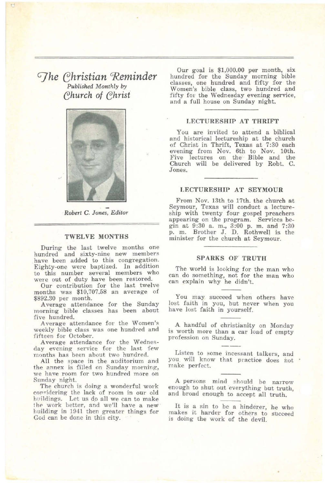# *The Christian Reminder Published Monthly by c;hurch* of *c;hrist*



*Robert* C. *Jones.* Editor

#### TWELVE MONTHS

During the last twelve months one hundred and sixty-nine new members have been added to this congregation. Eighty-one were baptized. In addition to this number several members who were out of duty have been restored.

Our contribution for the last twelve months was \$10,707.58 an average of 892.30 per month.

Average attendance for the Sunday morning bible classes has been about five hundred.

Average attendance for the Women's weekly bible class was one hundred and fifteen for October.

Average attendance for the Wednesday evening service for the last few months has been about two hundred.

All the space in the auditorium and the annex is filled on Sunday morning, we have room for two hundred more on<br>Sunday night.

The church is doing a wonderful work considering the lack of room in our old huildings. Let us do all we can to make the work better, and we'll have a new building in 1941 then greater things for God can be done in this city.

Our goal is \$1,000.00 per month, six hundred for the Sunday morning bible classes, one hundred and fifty for the Women's bible class, two hundred and fifty for the Wednesday evening service, and a full house on Sunday night.

#### LECTURESHIP AT THRIFT

You are invited to attend a biblical and historical lectureship at the church of Christ in Thrift, Texas at 7:30 each evening from Nov. 6th to Nov. lOth. Five lectures on the Bible and the Church will be delivered by Robt. C. Jones.

#### LECTURESHIP AT SEYMOUR

From Nov. 13th to 17th. the church at Seymour, Texas will conduct a lectureship with twenty four gospel preachers appearing on the program. Services be. gin at 9:30 a. m., 3:00 p. m. and 7:30 p. m. Brother J. D. Rothwell is the minister for the church at Seymour.

#### SPARKS OF TRUTH

The world is looking for the man who can do something, not for the man who can explain why he didn't.

You may succeed when others have lost faith in you, but never when you have lost faith in yourself.

A handful of christianity on Monday is worth more than a car load of empty profession on Sunday.

Listen to some incessant talkers, and you will know that practice does not make perfect.

A persons mind should be narrow enough to shut out everything but truth, and broad enough to accept all truth.

It is a sin to be a hinderer, he who makes it harder for others to succeed is doing the work of the devil.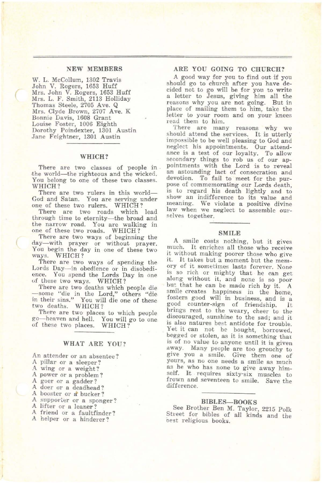#### NEW MEMBERS

w. L. McCollum, 1302 Travis John V. Rogers, 1653 Huff Mrs. John V. Rogers, 1653 Huff Mrs. L. F. Smith, 2113 Holliday Thomas Steele, 2705 Ave. Q Mrs. Clyde Brown, 2707 Ave. K Bonnie Davis, 1608 Grant Louise Foster, 1006 Eighth Dorothy Poindexter, 1301 Austin Jane Feightner, 1301 Austin

#### WHICH?

There are two classes of people in .the world-the righteous and the wicked. You belong to one of these two classes. WHICH?

There are two rulers in this world-God and Satan. You are serving under one of these two rulers. WHICH?

There are two roads which lead through time to eternity-the broad and the narrow road. You are walking in one of these two roads. WHICH?

There are two ways of beginning the day-with prayer or without prayer. You begin the day in one of these two ways. WHICH?

There are two ways of spending the Lords Day-in obedience or in disobedience. You spend the Lords Day in one of these two ways. WHICH?

There are two deaths which people die -some "die in the Lord," others "die 10 their sins." You will die one of these two deaths, WHICH?

There are two places to which people go-heaven and hell. You will go to one of these two places. WHICH?

## WHAT ARE YOU?

An attender or an absentee? A pillar or a sleeper? A wing or a weight? A power or a problem? A goer or a gadder? A doer or a deadhead? A booster or a bucker? A supporter or a sponger? A lifter or a leaner? A friend or a faultfinder? A helper or a hinderer?

#### ARE YOU GOING TO CHURCH?

<sup>A</sup> good way for you to find out if you should go to church after you have decided not to go will be for you to write reasons why you are not going. But in place of mailing them to him, take the letter to your room and on your knees read them to him.

There are many reasons why we should attend the services. It is utterly impossible to be well pleasing to God and<br>neglect his appointments. Our attendance is a test of our loyalty. To allow secondary things to rob us of our appointments with the Lord is to reveal an astounding lact of consecration and devotion. To fail to meet for the purpose of commemorating our Lords death, is to regard his death lightly and to show. an indifference to its value and meaning. We violate a positive divine law when we neglect to assemble our-<br>selves together.

#### SMILE

A smile costs nothing, but it gives much. It enriches all those who receive<br>it without making poorer those who give it. It takes but a moment but the mem-<br>ory of it sometimes lasts forever. None is so rich or mighty that he can get along WIthout It, and none is so poor but that he can be made rich by it. A smile creates happiness in the home. fosters good will in business, and is a go?d counter-sign of friendship. *it* brings rest to the weary, cheer to the discouraged, sunshine to the sad; and it is also natures best antidote for trouble. Yet it can not be bought, borrowed, begged or stolen, as it is something that is of no value to anyone until it is given away. Many people are too grouchy to give you a smile. Give them one of yours, as no one needs a smile as mucn as he who has none to give away himself. It requires sixty-six muscles to frown and seventeen to smile. Save the difference.

#### BIBLES-BOOKS

See Brother Ben M. Taylor, 2215 Polk Street for bibles of all kinds and the best religious books.